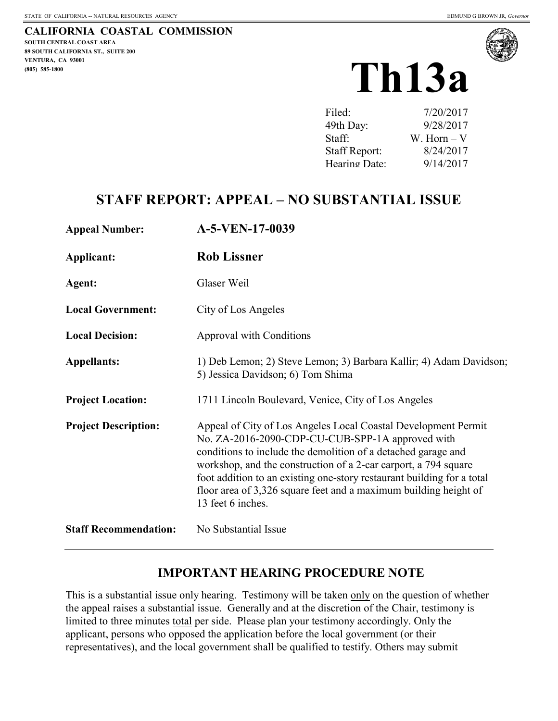**CALIFORNIA COASTAL COMMISSION SOUTH CENTRAL COAST AREA 89 SOUTH CALIFORNIA ST., SUITE 200 (805) 585-1800** 



| Filed:               | 7/20/2017    |
|----------------------|--------------|
| 49th Day:            | 9/28/2017    |
| Staff:               | W. Horn $-V$ |
| <b>Staff Report:</b> | 8/24/2017    |
| Hearing Date:        | 9/14/2017    |

### **STAFF REPORT: APPEAL – NO SUBSTANTIAL ISSUE**

| <b>Appeal Number:</b>        | A-5-VEN-17-0039                                                                                                                                                                                                                                                                                                                                                                                                           |
|------------------------------|---------------------------------------------------------------------------------------------------------------------------------------------------------------------------------------------------------------------------------------------------------------------------------------------------------------------------------------------------------------------------------------------------------------------------|
| Applicant:                   | <b>Rob Lissner</b>                                                                                                                                                                                                                                                                                                                                                                                                        |
| Agent:                       | Glaser Weil                                                                                                                                                                                                                                                                                                                                                                                                               |
| <b>Local Government:</b>     | City of Los Angeles                                                                                                                                                                                                                                                                                                                                                                                                       |
| <b>Local Decision:</b>       | Approval with Conditions                                                                                                                                                                                                                                                                                                                                                                                                  |
| <b>Appellants:</b>           | 1) Deb Lemon; 2) Steve Lemon; 3) Barbara Kallir; 4) Adam Davidson;<br>5) Jessica Davidson; 6) Tom Shima                                                                                                                                                                                                                                                                                                                   |
| <b>Project Location:</b>     | 1711 Lincoln Boulevard, Venice, City of Los Angeles                                                                                                                                                                                                                                                                                                                                                                       |
| <b>Project Description:</b>  | Appeal of City of Los Angeles Local Coastal Development Permit<br>No. ZA-2016-2090-CDP-CU-CUB-SPP-1A approved with<br>conditions to include the demolition of a detached garage and<br>workshop, and the construction of a 2-car carport, a 794 square<br>foot addition to an existing one-story restaurant building for a total<br>floor area of 3,326 square feet and a maximum building height of<br>13 feet 6 inches. |
| <b>Staff Recommendation:</b> | No Substantial Issue                                                                                                                                                                                                                                                                                                                                                                                                      |

### **IMPORTANT HEARING PROCEDURE NOTE**

This is a substantial issue only hearing. Testimony will be taken only on the question of whether the appeal raises a substantial issue. Generally and at the discretion of the Chair, testimony is limited to three minutes total per side. Please plan your testimony accordingly. Only the applicant, persons who opposed the application before the local government (or their representatives), and the local government shall be qualified to testify. Others may submit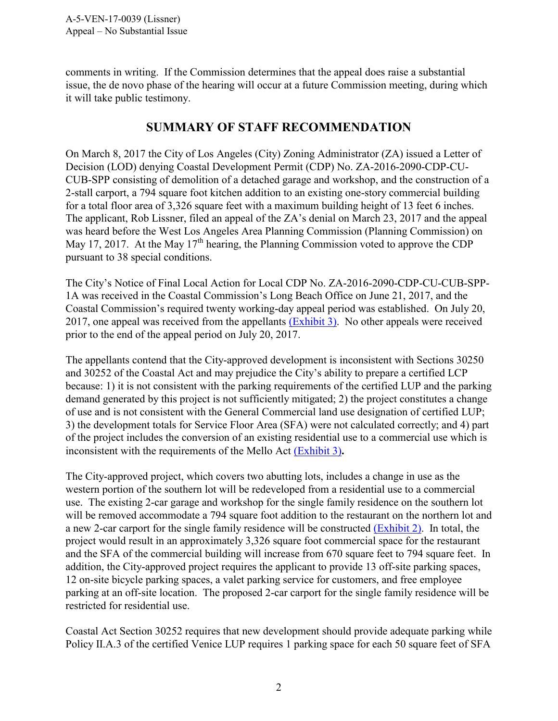comments in writing. If the Commission determines that the appeal does raise a substantial issue, the de novo phase of the hearing will occur at a future Commission meeting, during which it will take public testimony.

### **SUMMARY OF STAFF RECOMMENDATION**

On March 8, 2017 the City of Los Angeles (City) Zoning Administrator (ZA) issued a Letter of Decision (LOD) denying Coastal Development Permit (CDP) No. ZA-2016-2090-CDP-CU-CUB-SPP consisting of demolition of a detached garage and workshop, and the construction of a 2-stall carport, a 794 square foot kitchen addition to an existing one-story commercial building for a total floor area of 3,326 square feet with a maximum building height of 13 feet 6 inches. The applicant, Rob Lissner, filed an appeal of the ZA's denial on March 23, 2017 and the appeal was heard before the West Los Angeles Area Planning Commission (Planning Commission) on May 17, 2017. At the May 17<sup>th</sup> hearing, the Planning Commission voted to approve the CDP pursuant to 38 special conditions.

The City's Notice of Final Local Action for Local CDP No. ZA-2016-2090-CDP-CU-CUB-SPP-1A was received in the Coastal Commission's Long Beach Office on June 21, 2017, and the Coastal Commission's required twenty working-day appeal period was established. On July 20, 2017, one appeal was received from the appellants [\(Exhibit 3\).](https://documents.coastal.ca.gov/reports/2017/9/th13a/th13a-9-2017-exhibits.pdf) No other appeals were received prior to the end of the appeal period on July 20, 2017.

The appellants contend that the City-approved development is inconsistent with Sections 30250 and 30252 of the Coastal Act and may prejudice the City's ability to prepare a certified LCP because: 1) it is not consistent with the parking requirements of the certified LUP and the parking demand generated by this project is not sufficiently mitigated; 2) the project constitutes a change of use and is not consistent with the General Commercial land use designation of certified LUP; 3) the development totals for Service Floor Area (SFA) were not calculated correctly; and 4) part of the project includes the conversion of an existing residential use to a commercial use which is inconsistent with the requirements of the Mello Act [\(Exhibit 3\)](https://documents.coastal.ca.gov/reports/2017/9/th13a/th13a-9-2017-exhibits.pdf)**.**

The City-approved project, which covers two abutting lots, includes a change in use as the western portion of the southern lot will be redeveloped from a residential use to a commercial use. The existing 2-car garage and workshop for the single family residence on the southern lot will be removed accommodate a 794 square foot addition to the restaurant on the northern lot and a new 2-car carport for the single family residence will be constructed [\(Exhibit 2\).](https://documents.coastal.ca.gov/reports/2017/9/th13a/th13a-9-2017-exhibits.pdf) In total, the project would result in an approximately 3,326 square foot commercial space for the restaurant and the SFA of the commercial building will increase from 670 square feet to 794 square feet. In addition, the City-approved project requires the applicant to provide 13 off-site parking spaces, 12 on-site bicycle parking spaces, a valet parking service for customers, and free employee parking at an off-site location. The proposed 2-car carport for the single family residence will be restricted for residential use.

Coastal Act Section 30252 requires that new development should provide adequate parking while Policy II.A.3 of the certified Venice LUP requires 1 parking space for each 50 square feet of SFA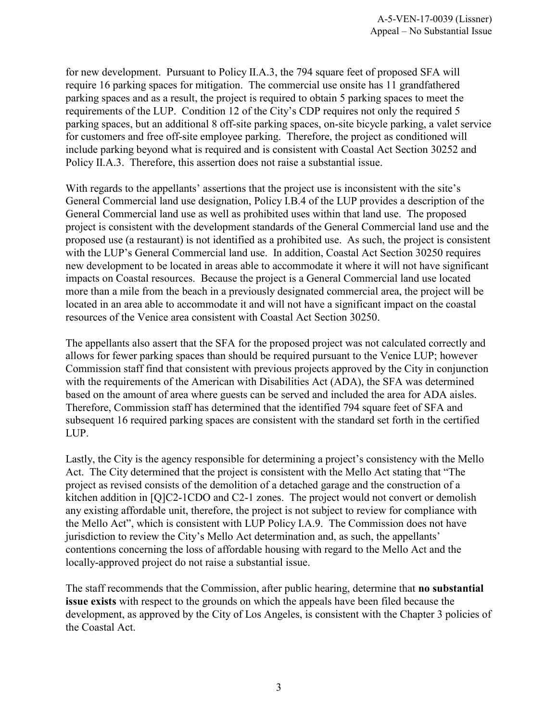for new development. Pursuant to Policy II.A.3, the 794 square feet of proposed SFA will require 16 parking spaces for mitigation. The commercial use onsite has 11 grandfathered parking spaces and as a result, the project is required to obtain 5 parking spaces to meet the requirements of the LUP. Condition 12 of the City's CDP requires not only the required 5 parking spaces, but an additional 8 off-site parking spaces, on-site bicycle parking, a valet service for customers and free off-site employee parking. Therefore, the project as conditioned will include parking beyond what is required and is consistent with Coastal Act Section 30252 and Policy II.A.3. Therefore, this assertion does not raise a substantial issue.

With regards to the appellants' assertions that the project use is inconsistent with the site's General Commercial land use designation, Policy I.B.4 of the LUP provides a description of the General Commercial land use as well as prohibited uses within that land use. The proposed project is consistent with the development standards of the General Commercial land use and the proposed use (a restaurant) is not identified as a prohibited use. As such, the project is consistent with the LUP's General Commercial land use. In addition, Coastal Act Section 30250 requires new development to be located in areas able to accommodate it where it will not have significant impacts on Coastal resources. Because the project is a General Commercial land use located more than a mile from the beach in a previously designated commercial area, the project will be located in an area able to accommodate it and will not have a significant impact on the coastal resources of the Venice area consistent with Coastal Act Section 30250.

The appellants also assert that the SFA for the proposed project was not calculated correctly and allows for fewer parking spaces than should be required pursuant to the Venice LUP; however Commission staff find that consistent with previous projects approved by the City in conjunction with the requirements of the American with Disabilities Act (ADA), the SFA was determined based on the amount of area where guests can be served and included the area for ADA aisles. Therefore, Commission staff has determined that the identified 794 square feet of SFA and subsequent 16 required parking spaces are consistent with the standard set forth in the certified LUP.

Lastly, the City is the agency responsible for determining a project's consistency with the Mello Act. The City determined that the project is consistent with the Mello Act stating that "The project as revised consists of the demolition of a detached garage and the construction of a kitchen addition in [Q]C2-1CDO and C2-1 zones. The project would not convert or demolish any existing affordable unit, therefore, the project is not subject to review for compliance with the Mello Act", which is consistent with LUP Policy I.A.9. The Commission does not have jurisdiction to review the City's Mello Act determination and, as such, the appellants' contentions concerning the loss of affordable housing with regard to the Mello Act and the locally-approved project do not raise a substantial issue.

The staff recommends that the Commission, after public hearing, determine that **no substantial issue exists** with respect to the grounds on which the appeals have been filed because the development, as approved by the City of Los Angeles, is consistent with the Chapter 3 policies of the Coastal Act.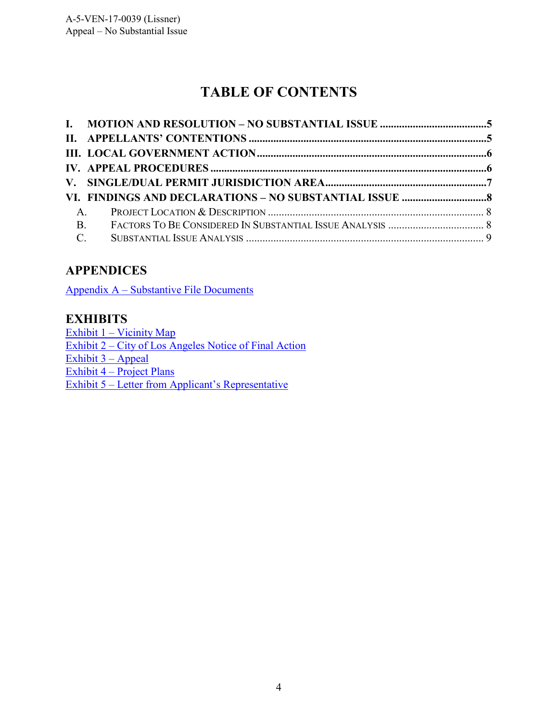# **TABLE OF CONTENTS**

| <b>B.</b> |  |
|-----------|--|
|           |  |

### <span id="page-3-0"></span>**APPENDICES**

[Appendix A – Substantive File Documents](#page-3-0)

### **EXHIBITS**

Exhibit 1 – Vicinity Map Exhibit 2 – City of Los Angeles Notice of Final Action  $Exhibit 3 - Appendix$ Exhibit  $4$  – Project Plans [Exhibit 5 – Letter from Applicant's Representative](https://documents.coastal.ca.gov/reports/2017/9/th13a/th13a-9-2017-exhibits.pdf)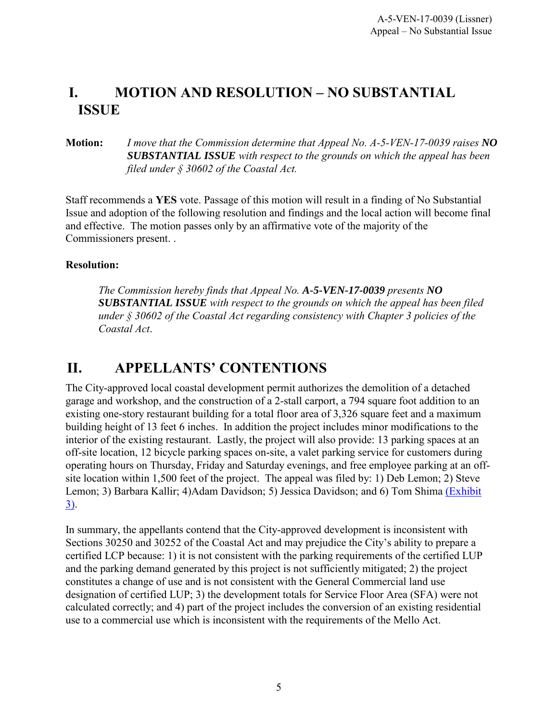### <span id="page-4-0"></span>**I. MOTION AND RESOLUTION – NO SUBSTANTIAL ISSUE**

#### **Motion:** *I move that the Commission determine that Appeal No. A-5-VEN-17-0039 raises NO SUBSTANTIAL ISSUE with respect to the grounds on which the appeal has been filed under § 30602 of the Coastal Act.*

Staff recommends a **YES** vote. Passage of this motion will result in a finding of No Substantial Issue and adoption of the following resolution and findings and the local action will become final and effective. The motion passes only by an affirmative vote of the majority of the Commissioners present. .

#### **Resolution:**

*The Commission hereby finds that Appeal No. A-5-VEN-17-0039 presents NO SUBSTANTIAL ISSUE with respect to the grounds on which the appeal has been filed under § 30602 of the Coastal Act regarding consistency with Chapter 3 policies of the Coastal Act*.

### <span id="page-4-1"></span>**II. APPELLANTS' CONTENTIONS**

The City-approved local coastal development permit authorizes the demolition of a detached garage and workshop, and the construction of a 2-stall carport, a 794 square foot addition to an existing one-story restaurant building for a total floor area of 3,326 square feet and a maximum building height of 13 feet 6 inches. In addition the project includes minor modifications to the interior of the existing restaurant. Lastly, the project will also provide: 13 parking spaces at an off-site location, 12 bicycle parking spaces on-site, a valet parking service for customers during operating hours on Thursday, Friday and Saturday evenings, and free employee parking at an offsite location within 1,500 feet of the project. The appeal was filed by: 1) Deb Lemon; 2) Steve Lemon; 3) Barbara Kallir; 4)Adam Davidson; 5) Jessica Davidson; and 6) Tom Shima [\(Exhibit](https://documents.coastal.ca.gov/reports/2017/9/th13a/th13a-9-2017-exhibits.pdf)  [3\).](https://documents.coastal.ca.gov/reports/2017/9/th13a/th13a-9-2017-exhibits.pdf)

In summary, the appellants contend that the City-approved development is inconsistent with Sections 30250 and 30252 of the Coastal Act and may prejudice the City's ability to prepare a certified LCP because: 1) it is not consistent with the parking requirements of the certified LUP and the parking demand generated by this project is not sufficiently mitigated; 2) the project constitutes a change of use and is not consistent with the General Commercial land use designation of certified LUP; 3) the development totals for Service Floor Area (SFA) were not calculated correctly; and 4) part of the project includes the conversion of an existing residential use to a commercial use which is inconsistent with the requirements of the Mello Act.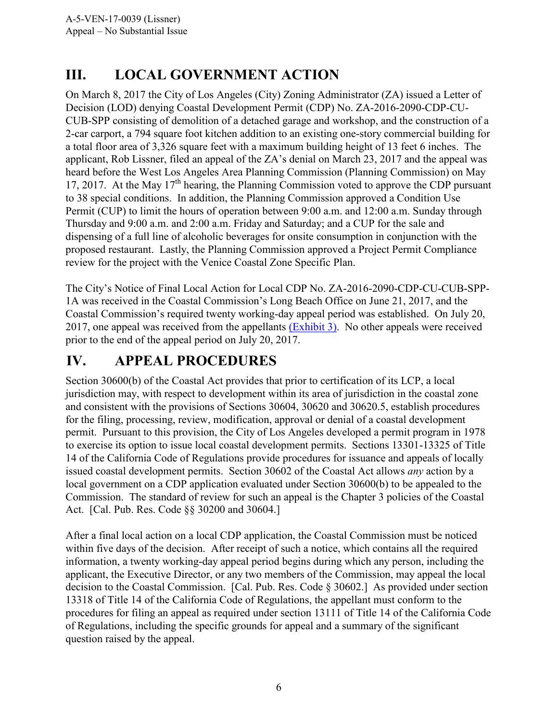# <span id="page-5-0"></span>**III. LOCAL GOVERNMENT ACTION**

On March 8, 2017 the City of Los Angeles (City) Zoning Administrator (ZA) issued a Letter of Decision (LOD) denying Coastal Development Permit (CDP) No. ZA-2016-2090-CDP-CU-CUB-SPP consisting of demolition of a detached garage and workshop, and the construction of a 2-car carport, a 794 square foot kitchen addition to an existing one-story commercial building for a total floor area of 3,326 square feet with a maximum building height of 13 feet 6 inches. The applicant, Rob Lissner, filed an appeal of the ZA's denial on March 23, 2017 and the appeal was heard before the West Los Angeles Area Planning Commission (Planning Commission) on May 17, 2017. At the May  $17<sup>th</sup>$  hearing, the Planning Commission voted to approve the CDP pursuant to 38 special conditions. In addition, the Planning Commission approved a Condition Use Permit (CUP) to limit the hours of operation between 9:00 a.m. and 12:00 a.m. Sunday through Thursday and 9:00 a.m. and 2:00 a.m. Friday and Saturday; and a CUP for the sale and dispensing of a full line of alcoholic beverages for onsite consumption in conjunction with the proposed restaurant. Lastly, the Planning Commission approved a Project Permit Compliance review for the project with the Venice Coastal Zone Specific Plan.

The City's Notice of Final Local Action for Local CDP No. ZA-2016-2090-CDP-CU-CUB-SPP-1A was received in the Coastal Commission's Long Beach Office on June 21, 2017, and the Coastal Commission's required twenty working-day appeal period was established. On July 20, 2017, one appeal was received from the appellants [\(Exhibit 3\).](https://documents.coastal.ca.gov/reports/2017/9/th13a/th13a-9-2017-exhibits.pdf) No other appeals were received prior to the end of the appeal period on July 20, 2017.

# <span id="page-5-1"></span>**IV. APPEAL PROCEDURES**

Section 30600(b) of the Coastal Act provides that prior to certification of its LCP, a local jurisdiction may, with respect to development within its area of jurisdiction in the coastal zone and consistent with the provisions of Sections 30604, 30620 and 30620.5, establish procedures for the filing, processing, review, modification, approval or denial of a coastal development permit. Pursuant to this provision, the City of Los Angeles developed a permit program in 1978 to exercise its option to issue local coastal development permits. Sections 13301-13325 of Title 14 of the California Code of Regulations provide procedures for issuance and appeals of locally issued coastal development permits. Section 30602 of the Coastal Act allows *any* action by a local government on a CDP application evaluated under Section 30600(b) to be appealed to the Commission. The standard of review for such an appeal is the Chapter 3 policies of the Coastal Act. [Cal. Pub. Res. Code §§ 30200 and 30604.]

After a final local action on a local CDP application, the Coastal Commission must be noticed within five days of the decision. After receipt of such a notice, which contains all the required information, a twenty working-day appeal period begins during which any person, including the applicant, the Executive Director, or any two members of the Commission, may appeal the local decision to the Coastal Commission. [Cal. Pub. Res. Code § 30602.] As provided under section 13318 of Title 14 of the California Code of Regulations, the appellant must conform to the procedures for filing an appeal as required under section 13111 of Title 14 of the California Code of Regulations, including the specific grounds for appeal and a summary of the significant question raised by the appeal.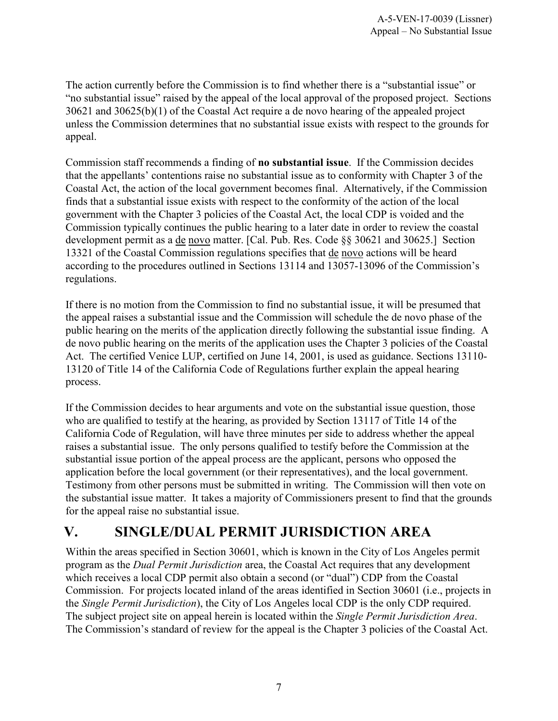The action currently before the Commission is to find whether there is a "substantial issue" or "no substantial issue" raised by the appeal of the local approval of the proposed project. Sections 30621 and 30625(b)(1) of the Coastal Act require a de novo hearing of the appealed project unless the Commission determines that no substantial issue exists with respect to the grounds for appeal.

Commission staff recommends a finding of **no substantial issue**. If the Commission decides that the appellants' contentions raise no substantial issue as to conformity with Chapter 3 of the Coastal Act, the action of the local government becomes final. Alternatively, if the Commission finds that a substantial issue exists with respect to the conformity of the action of the local government with the Chapter 3 policies of the Coastal Act, the local CDP is voided and the Commission typically continues the public hearing to a later date in order to review the coastal development permit as a de novo matter. [Cal. Pub. Res. Code §§ 30621 and 30625.] Section 13321 of the Coastal Commission regulations specifies that de novo actions will be heard according to the procedures outlined in Sections 13114 and 13057-13096 of the Commission's regulations.

If there is no motion from the Commission to find no substantial issue, it will be presumed that the appeal raises a substantial issue and the Commission will schedule the de novo phase of the public hearing on the merits of the application directly following the substantial issue finding. A de novo public hearing on the merits of the application uses the Chapter 3 policies of the Coastal Act. The certified Venice LUP, certified on June 14, 2001, is used as guidance. Sections 13110- 13120 of Title 14 of the California Code of Regulations further explain the appeal hearing process.

If the Commission decides to hear arguments and vote on the substantial issue question, those who are qualified to testify at the hearing, as provided by Section 13117 of Title 14 of the California Code of Regulation, will have three minutes per side to address whether the appeal raises a substantial issue. The only persons qualified to testify before the Commission at the substantial issue portion of the appeal process are the applicant, persons who opposed the application before the local government (or their representatives), and the local government. Testimony from other persons must be submitted in writing. The Commission will then vote on the substantial issue matter. It takes a majority of Commissioners present to find that the grounds for the appeal raise no substantial issue.

# <span id="page-6-0"></span>**V. SINGLE/DUAL PERMIT JURISDICTION AREA**

Within the areas specified in Section 30601, which is known in the City of Los Angeles permit program as the *Dual Permit Jurisdiction* area, the Coastal Act requires that any development which receives a local CDP permit also obtain a second (or "dual") CDP from the Coastal Commission. For projects located inland of the areas identified in Section 30601 (i.e., projects in the *Single Permit Jurisdiction*), the City of Los Angeles local CDP is the only CDP required. The subject project site on appeal herein is located within the *Single Permit Jurisdiction Area*. The Commission's standard of review for the appeal is the Chapter 3 policies of the Coastal Act.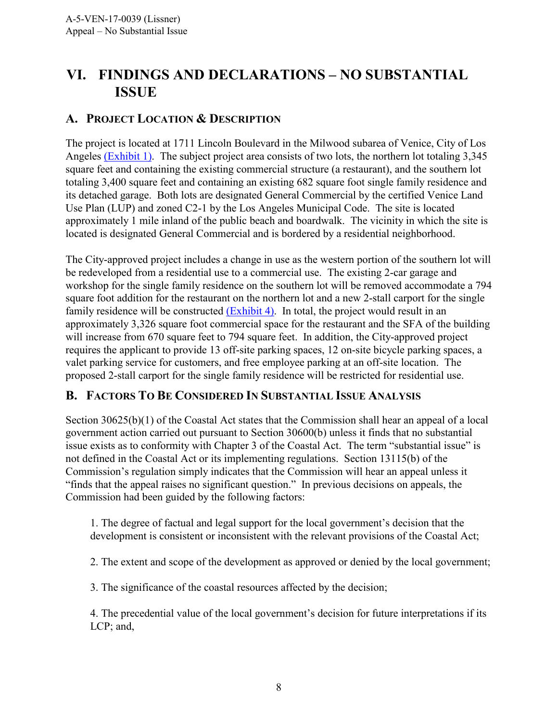# <span id="page-7-0"></span>**VI. FINDINGS AND DECLARATIONS – NO SUBSTANTIAL ISSUE**

### <span id="page-7-1"></span>**A. PROJECT LOCATION & DESCRIPTION**

The project is located at 1711 Lincoln Boulevard in the Milwood subarea of Venice, City of Los Angeles [\(Exhibit 1\).](https://documents.coastal.ca.gov/reports/2017/9/th13a/th13a-9-2017-exhibits.pdf) The subject project area consists of two lots, the northern lot totaling 3,345 square feet and containing the existing commercial structure (a restaurant), and the southern lot totaling 3,400 square feet and containing an existing 682 square foot single family residence and its detached garage. Both lots are designated General Commercial by the certified Venice Land Use Plan (LUP) and zoned C2-1 by the Los Angeles Municipal Code. The site is located approximately 1 mile inland of the public beach and boardwalk. The vicinity in which the site is located is designated General Commercial and is bordered by a residential neighborhood.

The City-approved project includes a change in use as the western portion of the southern lot will be redeveloped from a residential use to a commercial use. The existing 2-car garage and workshop for the single family residence on the southern lot will be removed accommodate a 794 square foot addition for the restaurant on the northern lot and a new 2-stall carport for the single family residence will be constructed [\(Exhibit 4\).](https://documents.coastal.ca.gov/reports/2017/9/th13a/th13a-9-2017-exhibits.pdf) In total, the project would result in an approximately 3,326 square foot commercial space for the restaurant and the SFA of the building will increase from 670 square feet to 794 square feet. In addition, the City-approved project requires the applicant to provide 13 off-site parking spaces, 12 on-site bicycle parking spaces, a valet parking service for customers, and free employee parking at an off-site location. The proposed 2-stall carport for the single family residence will be restricted for residential use.

#### <span id="page-7-2"></span>**B. FACTORS TO BE CONSIDERED IN SUBSTANTIAL ISSUE ANALYSIS**

Section 30625(b)(1) of the Coastal Act states that the Commission shall hear an appeal of a local government action carried out pursuant to Section 30600(b) unless it finds that no substantial issue exists as to conformity with Chapter 3 of the Coastal Act. The term "substantial issue" is not defined in the Coastal Act or its implementing regulations. Section 13115(b) of the Commission's regulation simply indicates that the Commission will hear an appeal unless it "finds that the appeal raises no significant question." In previous decisions on appeals, the Commission had been guided by the following factors:

1. The degree of factual and legal support for the local government's decision that the development is consistent or inconsistent with the relevant provisions of the Coastal Act;

2. The extent and scope of the development as approved or denied by the local government;

3. The significance of the coastal resources affected by the decision;

4. The precedential value of the local government's decision for future interpretations if its LCP; and,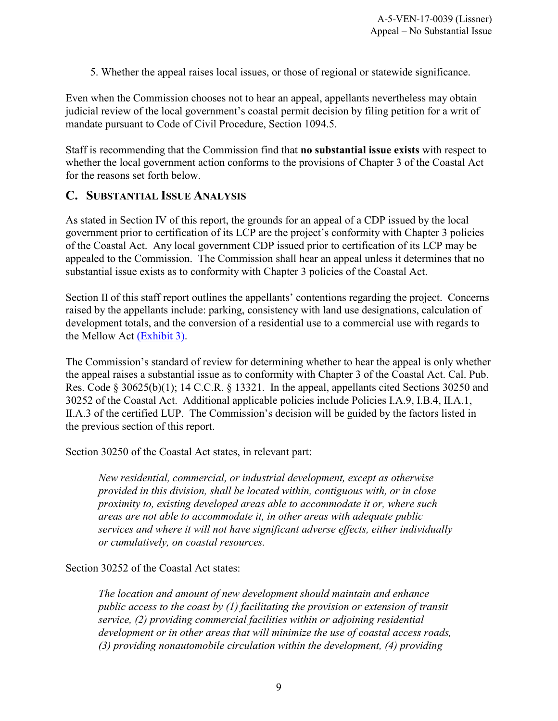5. Whether the appeal raises local issues, or those of regional or statewide significance.

Even when the Commission chooses not to hear an appeal, appellants nevertheless may obtain judicial review of the local government's coastal permit decision by filing petition for a writ of mandate pursuant to Code of Civil Procedure, Section 1094.5.

Staff is recommending that the Commission find that **no substantial issue exists** with respect to whether the local government action conforms to the provisions of Chapter 3 of the Coastal Act for the reasons set forth below.

#### <span id="page-8-0"></span>**C. SUBSTANTIAL ISSUE ANALYSIS**

As stated in Section IV of this report, the grounds for an appeal of a CDP issued by the local government prior to certification of its LCP are the project's conformity with Chapter 3 policies of the Coastal Act. Any local government CDP issued prior to certification of its LCP may be appealed to the Commission. The Commission shall hear an appeal unless it determines that no substantial issue exists as to conformity with Chapter 3 policies of the Coastal Act.

Section II of this staff report outlines the appellants' contentions regarding the project. Concerns raised by the appellants include: parking, consistency with land use designations, calculation of development totals, and the conversion of a residential use to a commercial use with regards to the Mellow Act [\(Exhibit 3\).](#page-3-0)

The Commission's standard of review for determining whether to hear the appeal is only whether the appeal raises a substantial issue as to conformity with Chapter 3 of the Coastal Act. Cal. Pub. Res. Code § 30625(b)(1); 14 C.C.R. § 13321. In the appeal, appellants cited Sections 30250 and 30252 of the Coastal Act. Additional applicable policies include Policies I.A.9, I.B.4, II.A.1, II.A.3 of the certified LUP. The Commission's decision will be guided by the factors listed in the previous section of this report.

Section 30250 of the Coastal Act states, in relevant part:

*New residential, commercial, or industrial development, except as otherwise provided in this division, shall be located within, contiguous with, or in close proximity to, existing developed areas able to accommodate it or, where such areas are not able to accommodate it, in other areas with adequate public services and where it will not have significant adverse effects, either individually or cumulatively, on coastal resources.* 

Section 30252 of the Coastal Act states:

*The location and amount of new development should maintain and enhance public access to the coast by (1) facilitating the provision or extension of transit service, (2) providing commercial facilities within or adjoining residential development or in other areas that will minimize the use of coastal access roads, (3) providing nonautomobile circulation within the development, (4) providing*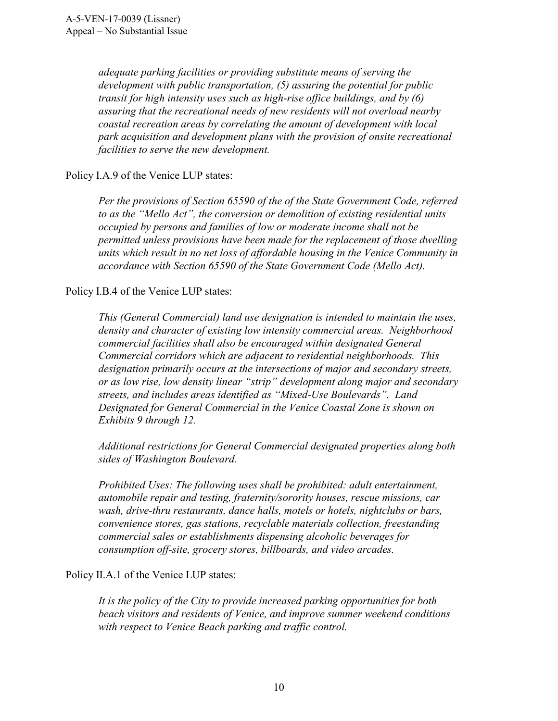*adequate parking facilities or providing substitute means of serving the development with public transportation, (5) assuring the potential for public transit for high intensity uses such as high-rise office buildings, and by (6) assuring that the recreational needs of new residents will not overload nearby coastal recreation areas by correlating the amount of development with local park acquisition and development plans with the provision of onsite recreational facilities to serve the new development.* 

Policy I.A.9 of the Venice LUP states:

*Per the provisions of Section 65590 of the of the State Government Code, referred to as the "Mello Act", the conversion or demolition of existing residential units occupied by persons and families of low or moderate income shall not be permitted unless provisions have been made for the replacement of those dwelling units which result in no net loss of affordable housing in the Venice Community in accordance with Section 65590 of the State Government Code (Mello Act).* 

Policy I.B.4 of the Venice LUP states:

*This (General Commercial) land use designation is intended to maintain the uses, density and character of existing low intensity commercial areas. Neighborhood commercial facilities shall also be encouraged within designated General Commercial corridors which are adjacent to residential neighborhoods. This designation primarily occurs at the intersections of major and secondary streets, or as low rise, low density linear "strip" development along major and secondary streets, and includes areas identified as "Mixed-Use Boulevards". Land Designated for General Commercial in the Venice Coastal Zone is shown on Exhibits 9 through 12.* 

*Additional restrictions for General Commercial designated properties along both sides of Washington Boulevard.* 

*Prohibited Uses: The following uses shall be prohibited: adult entertainment, automobile repair and testing, fraternity/sorority houses, rescue missions, car wash, drive-thru restaurants, dance halls, motels or hotels, nightclubs or bars, convenience stores, gas stations, recyclable materials collection, freestanding commercial sales or establishments dispensing alcoholic beverages for consumption off-site, grocery stores, billboards, and video arcades.*

Policy II.A.1 of the Venice LUP states:

*It is the policy of the City to provide increased parking opportunities for both beach visitors and residents of Venice, and improve summer weekend conditions with respect to Venice Beach parking and traffic control.*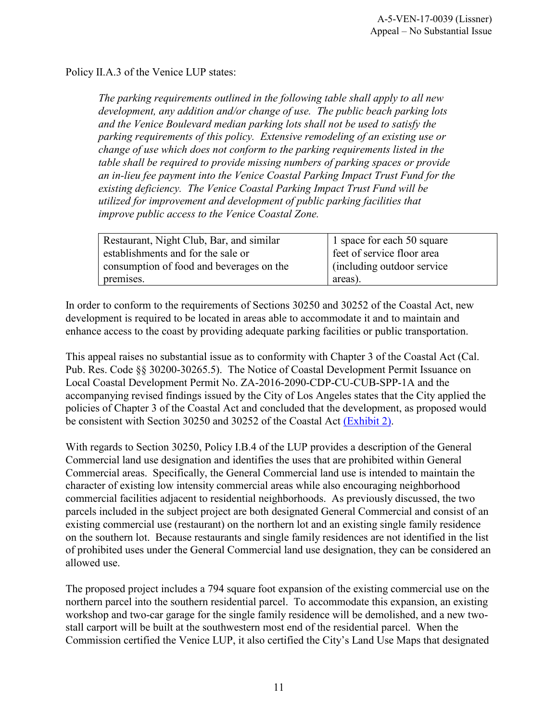Policy II.A.3 of the Venice LUP states:

*The parking requirements outlined in the following table shall apply to all new development, any addition and/or change of use. The public beach parking lots and the Venice Boulevard median parking lots shall not be used to satisfy the parking requirements of this policy. Extensive remodeling of an existing use or change of use which does not conform to the parking requirements listed in the table shall be required to provide missing numbers of parking spaces or provide an in-lieu fee payment into the Venice Coastal Parking Impact Trust Fund for the existing deficiency. The Venice Coastal Parking Impact Trust Fund will be utilized for improvement and development of public parking facilities that improve public access to the Venice Coastal Zone.* 

| Restaurant, Night Club, Bar, and similar | 1 space for each 50 square  |
|------------------------------------------|-----------------------------|
| establishments and for the sale or       | feet of service floor area  |
| consumption of food and beverages on the | (including outdoor service) |
| premises.                                | areas).                     |

In order to conform to the requirements of Sections 30250 and 30252 of the Coastal Act, new development is required to be located in areas able to accommodate it and to maintain and enhance access to the coast by providing adequate parking facilities or public transportation.

This appeal raises no substantial issue as to conformity with Chapter 3 of the Coastal Act (Cal. Pub. Res. Code §§ 30200-30265.5). The Notice of Coastal Development Permit Issuance on Local Coastal Development Permit No. ZA-2016-2090-CDP-CU-CUB-SPP-1A and the accompanying revised findings issued by the City of Los Angeles states that the City applied the policies of Chapter 3 of the Coastal Act and concluded that the development, as proposed would be consistent with Section 30250 and 30252 of the Coastal Act [\(Exhibit 2\).](https://documents.coastal.ca.gov/reports/2017/9/th13a/th13a-9-2017-exhibits.pdf)

With regards to Section 30250, Policy I.B.4 of the LUP provides a description of the General Commercial land use designation and identifies the uses that are prohibited within General Commercial areas. Specifically, the General Commercial land use is intended to maintain the character of existing low intensity commercial areas while also encouraging neighborhood commercial facilities adjacent to residential neighborhoods. As previously discussed, the two parcels included in the subject project are both designated General Commercial and consist of an existing commercial use (restaurant) on the northern lot and an existing single family residence on the southern lot. Because restaurants and single family residences are not identified in the list of prohibited uses under the General Commercial land use designation, they can be considered an allowed use.

The proposed project includes a 794 square foot expansion of the existing commercial use on the northern parcel into the southern residential parcel. To accommodate this expansion, an existing workshop and two-car garage for the single family residence will be demolished, and a new twostall carport will be built at the southwestern most end of the residential parcel. When the Commission certified the Venice LUP, it also certified the City's Land Use Maps that designated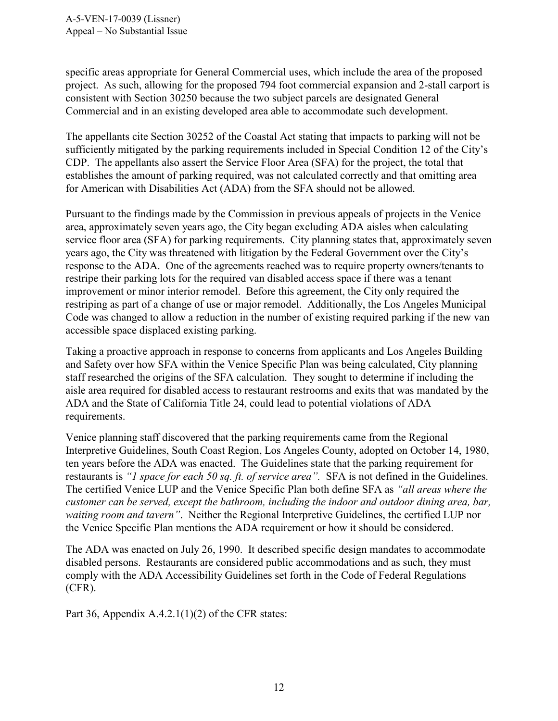specific areas appropriate for General Commercial uses, which include the area of the proposed project. As such, allowing for the proposed 794 foot commercial expansion and 2-stall carport is consistent with Section 30250 because the two subject parcels are designated General Commercial and in an existing developed area able to accommodate such development.

The appellants cite Section 30252 of the Coastal Act stating that impacts to parking will not be sufficiently mitigated by the parking requirements included in Special Condition 12 of the City's CDP. The appellants also assert the Service Floor Area (SFA) for the project, the total that establishes the amount of parking required, was not calculated correctly and that omitting area for American with Disabilities Act (ADA) from the SFA should not be allowed.

Pursuant to the findings made by the Commission in previous appeals of projects in the Venice area, approximately seven years ago, the City began excluding ADA aisles when calculating service floor area (SFA) for parking requirements. City planning states that, approximately seven years ago, the City was threatened with litigation by the Federal Government over the City's response to the ADA. One of the agreements reached was to require property owners/tenants to restripe their parking lots for the required van disabled access space if there was a tenant improvement or minor interior remodel. Before this agreement, the City only required the restriping as part of a change of use or major remodel. Additionally, the Los Angeles Municipal Code was changed to allow a reduction in the number of existing required parking if the new van accessible space displaced existing parking.

Taking a proactive approach in response to concerns from applicants and Los Angeles Building and Safety over how SFA within the Venice Specific Plan was being calculated, City planning staff researched the origins of the SFA calculation. They sought to determine if including the aisle area required for disabled access to restaurant restrooms and exits that was mandated by the ADA and the State of California Title 24, could lead to potential violations of ADA requirements.

Venice planning staff discovered that the parking requirements came from the Regional Interpretive Guidelines, South Coast Region, Los Angeles County, adopted on October 14, 1980, ten years before the ADA was enacted. The Guidelines state that the parking requirement for restaurants is *"1 space for each 50 sq. ft. of service area".* SFA is not defined in the Guidelines. The certified Venice LUP and the Venice Specific Plan both define SFA as *"all areas where the customer can be served, except the bathroom, including the indoor and outdoor dining area, bar, waiting room and tavern"*. Neither the Regional Interpretive Guidelines, the certified LUP nor the Venice Specific Plan mentions the ADA requirement or how it should be considered.

The ADA was enacted on July 26, 1990. It described specific design mandates to accommodate disabled persons. Restaurants are considered public accommodations and as such, they must comply with the ADA Accessibility Guidelines set forth in the Code of Federal Regulations (CFR).

Part 36, Appendix  $A.4.2.1(1)(2)$  of the CFR states: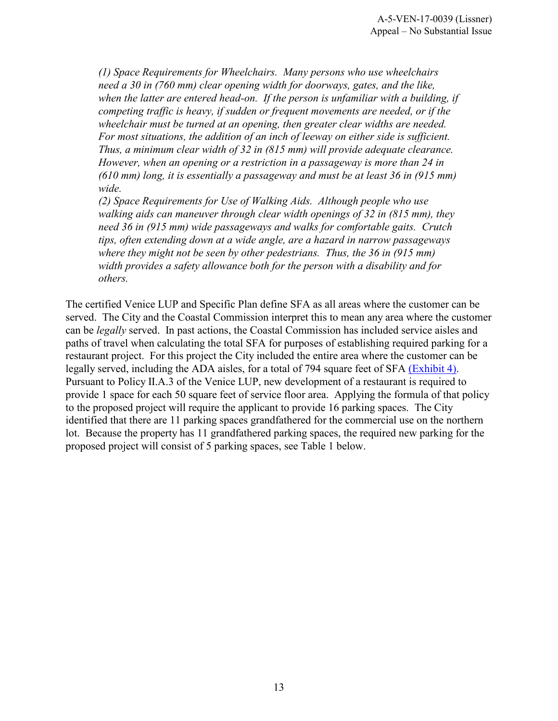*(1) Space Requirements for Wheelchairs. Many persons who use wheelchairs need a 30 in (760 mm) clear opening width for doorways, gates, and the like,*  when the latter are entered head-on. If the person is unfamiliar with a building, if *competing traffic is heavy, if sudden or frequent movements are needed, or if the wheelchair must be turned at an opening, then greater clear widths are needed. For most situations, the addition of an inch of leeway on either side is sufficient. Thus, a minimum clear width of 32 in (815 mm) will provide adequate clearance. However, when an opening or a restriction in a passageway is more than 24 in (610 mm) long, it is essentially a passageway and must be at least 36 in (915 mm) wide.* 

*(2) Space Requirements for Use of Walking Aids. Although people who use walking aids can maneuver through clear width openings of 32 in (815 mm), they need 36 in (915 mm) wide passageways and walks for comfortable gaits. Crutch tips, often extending down at a wide angle, are a hazard in narrow passageways where they might not be seen by other pedestrians. Thus, the 36 in (915 mm) width provides a safety allowance both for the person with a disability and for others.*

The certified Venice LUP and Specific Plan define SFA as all areas where the customer can be served. The City and the Coastal Commission interpret this to mean any area where the customer can be *legally* served. In past actions, the Coastal Commission has included service aisles and paths of travel when calculating the total SFA for purposes of establishing required parking for a restaurant project. For this project the City included the entire area where the customer can be legally served, including the ADA aisles, for a total of 794 square feet of SFA [\(Exhibit 4\).](#page-3-0) Pursuant to Policy II.A.3 of the Venice LUP, new development of a restaurant is required to provide 1 space for each 50 square feet of service floor area. Applying the formula of that policy to the proposed project will require the applicant to provide 16 parking spaces. The City identified that there are 11 parking spaces grandfathered for the commercial use on the northern lot. Because the property has 11 grandfathered parking spaces, the required new parking for the proposed project will consist of 5 parking spaces, see Table 1 below.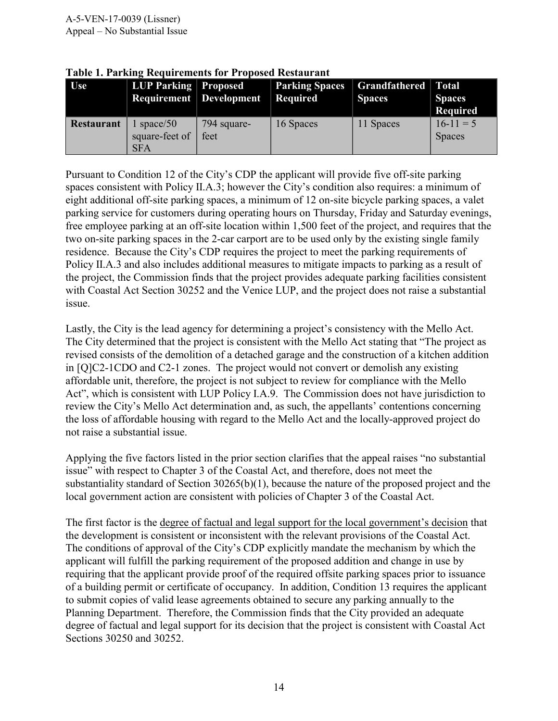| Use               | <b>LUP Parking Proposed</b><br><b>Requirement</b> Development |                     | <b>Parking Spaces</b><br><b>Required</b> | <b>Grandfathered</b> Total<br><b>Spaces</b> | <b>Spaces</b><br><b>Required</b> |
|-------------------|---------------------------------------------------------------|---------------------|------------------------------------------|---------------------------------------------|----------------------------------|
| <b>Restaurant</b> | space/50<br>square-feet of<br><b>SFA</b>                      | 794 square-<br>feet | 16 Spaces                                | 11 Spaces                                   | $16-11=5$<br><b>Spaces</b>       |

**Table 1. Parking Requirements for Proposed Restaurant** 

Pursuant to Condition 12 of the City's CDP the applicant will provide five off-site parking spaces consistent with Policy II.A.3; however the City's condition also requires: a minimum of eight additional off-site parking spaces, a minimum of 12 on-site bicycle parking spaces, a valet parking service for customers during operating hours on Thursday, Friday and Saturday evenings, free employee parking at an off-site location within 1,500 feet of the project, and requires that the two on-site parking spaces in the 2-car carport are to be used only by the existing single family residence. Because the City's CDP requires the project to meet the parking requirements of Policy II.A.3 and also includes additional measures to mitigate impacts to parking as a result of the project, the Commission finds that the project provides adequate parking facilities consistent with Coastal Act Section 30252 and the Venice LUP, and the project does not raise a substantial issue.

Lastly, the City is the lead agency for determining a project's consistency with the Mello Act. The City determined that the project is consistent with the Mello Act stating that "The project as revised consists of the demolition of a detached garage and the construction of a kitchen addition in [Q]C2-1CDO and C2-1 zones. The project would not convert or demolish any existing affordable unit, therefore, the project is not subject to review for compliance with the Mello Act", which is consistent with LUP Policy I.A.9. The Commission does not have jurisdiction to review the City's Mello Act determination and, as such, the appellants' contentions concerning the loss of affordable housing with regard to the Mello Act and the locally-approved project do not raise a substantial issue.

Applying the five factors listed in the prior section clarifies that the appeal raises "no substantial issue" with respect to Chapter 3 of the Coastal Act, and therefore, does not meet the substantiality standard of Section 30265(b)(1), because the nature of the proposed project and the local government action are consistent with policies of Chapter 3 of the Coastal Act.

The first factor is the degree of factual and legal support for the local government's decision that the development is consistent or inconsistent with the relevant provisions of the Coastal Act. The conditions of approval of the City's CDP explicitly mandate the mechanism by which the applicant will fulfill the parking requirement of the proposed addition and change in use by requiring that the applicant provide proof of the required offsite parking spaces prior to issuance of a building permit or certificate of occupancy. In addition, Condition 13 requires the applicant to submit copies of valid lease agreements obtained to secure any parking annually to the Planning Department. Therefore, the Commission finds that the City provided an adequate degree of factual and legal support for its decision that the project is consistent with Coastal Act Sections 30250 and 30252.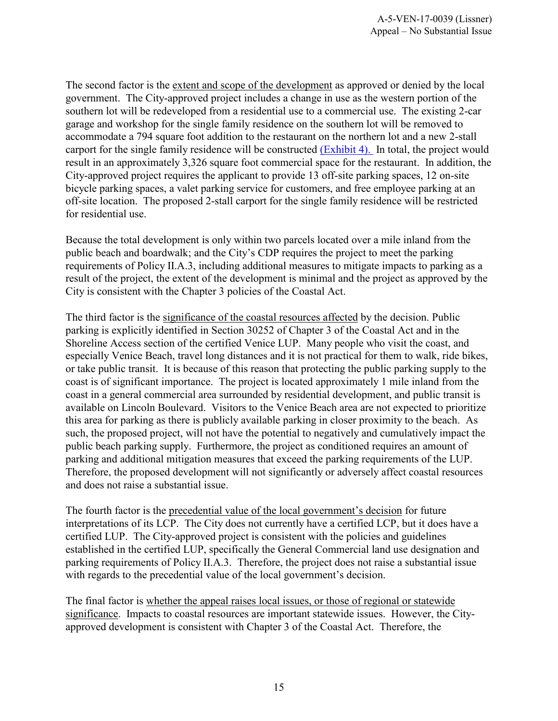The second factor is the extent and scope of the development as approved or denied by the local government. The City-approved project includes a change in use as the western portion of the southern lot will be redeveloped from a residential use to a commercial use. The existing 2-car garage and workshop for the single family residence on the southern lot will be removed to accommodate a 794 square foot addition to the restaurant on the northern lot and a new 2-stall carport for the single family residence will be constructed [\(Exhibit 4\).](https://documents.coastal.ca.gov/reports/2017/9/th13a/th13a-9-2017-exhibits.pdf) In total, the project would result in an approximately 3,326 square foot commercial space for the restaurant. In addition, the City-approved project requires the applicant to provide 13 off-site parking spaces, 12 on-site bicycle parking spaces, a valet parking service for customers, and free employee parking at an off-site location. The proposed 2-stall carport for the single family residence will be restricted for residential use.

Because the total development is only within two parcels located over a mile inland from the public beach and boardwalk; and the City's CDP requires the project to meet the parking requirements of Policy II.A.3, including additional measures to mitigate impacts to parking as a result of the project, the extent of the development is minimal and the project as approved by the City is consistent with the Chapter 3 policies of the Coastal Act.

The third factor is the significance of the coastal resources affected by the decision. Public parking is explicitly identified in Section 30252 of Chapter 3 of the Coastal Act and in the Shoreline Access section of the certified Venice LUP. Many people who visit the coast, and especially Venice Beach, travel long distances and it is not practical for them to walk, ride bikes, or take public transit. It is because of this reason that protecting the public parking supply to the coast is of significant importance. The project is located approximately 1 mile inland from the coast in a general commercial area surrounded by residential development, and public transit is available on Lincoln Boulevard. Visitors to the Venice Beach area are not expected to prioritize this area for parking as there is publicly available parking in closer proximity to the beach. As such, the proposed project, will not have the potential to negatively and cumulatively impact the public beach parking supply. Furthermore, the project as conditioned requires an amount of parking and additional mitigation measures that exceed the parking requirements of the LUP. Therefore, the proposed development will not significantly or adversely affect coastal resources and does not raise a substantial issue.

The fourth factor is the precedential value of the local government's decision for future interpretations of its LCP. The City does not currently have a certified LCP, but it does have a certified LUP. The City-approved project is consistent with the policies and guidelines established in the certified LUP, specifically the General Commercial land use designation and parking requirements of Policy II.A.3. Therefore, the project does not raise a substantial issue with regards to the precedential value of the local government's decision.

The final factor is whether the appeal raises local issues, or those of regional or statewide significance. Impacts to coastal resources are important statewide issues. However, the Cityapproved development is consistent with Chapter 3 of the Coastal Act. Therefore, the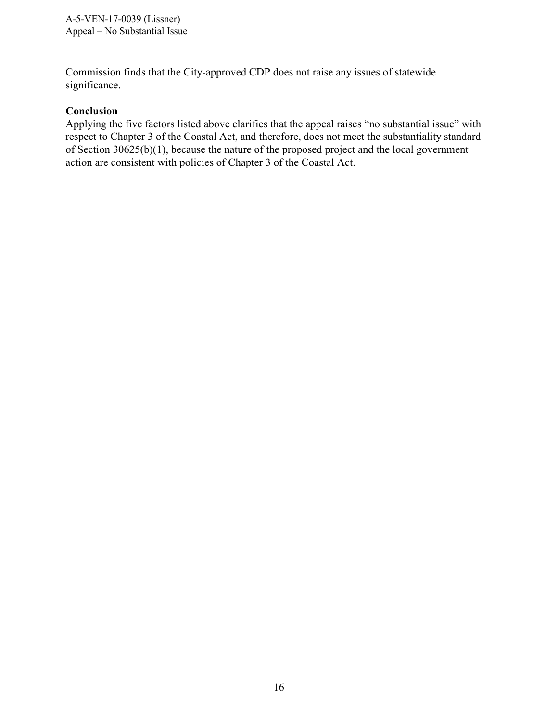Commission finds that the City-approved CDP does not raise any issues of statewide significance.

#### **Conclusion**

Applying the five factors listed above clarifies that the appeal raises "no substantial issue" with respect to Chapter 3 of the Coastal Act, and therefore, does not meet the substantiality standard of Section 30625(b)(1), because the nature of the proposed project and the local government action are consistent with policies of Chapter 3 of the Coastal Act.